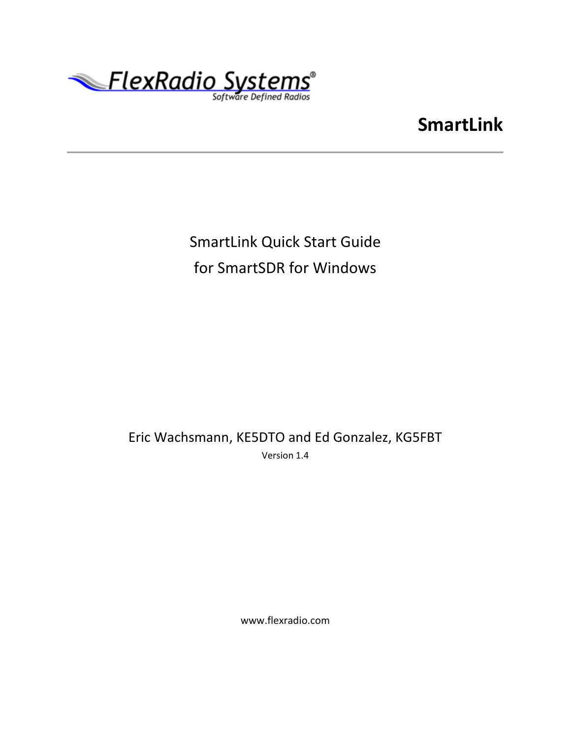

# **SmartLink**

# SmartLink Quick Start Guide for SmartSDR for Windows

Eric Wachsmann, KE5DTO and Ed Gonzalez, KG5FBT Version 1.4

www.flexradio.com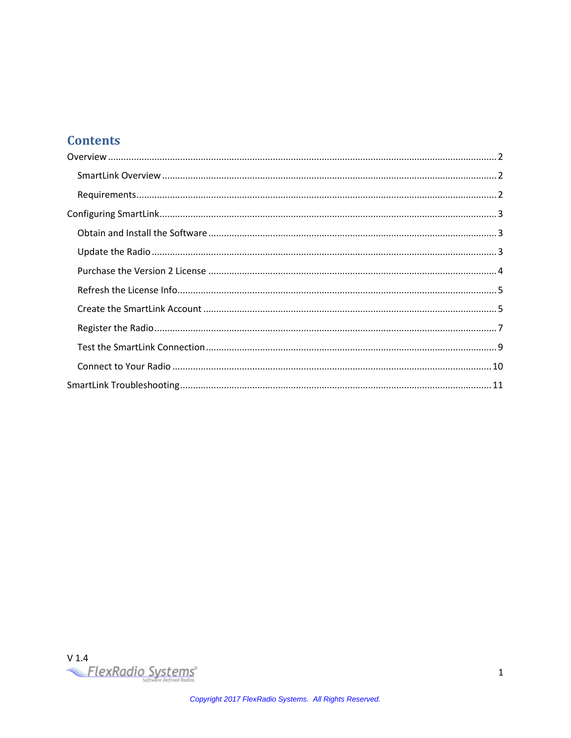### **Contents**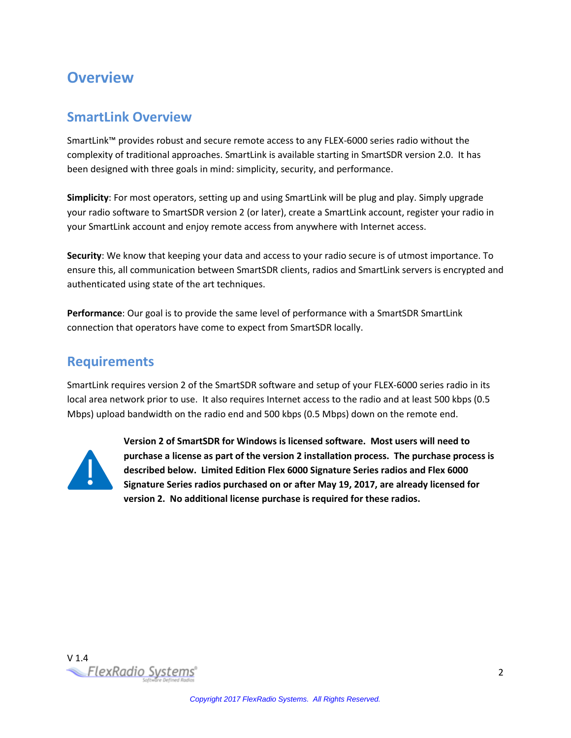### <span id="page-2-0"></span>**Overview**

#### <span id="page-2-1"></span>**SmartLink Overview**

SmartLink™ provides robust and secure remote access to any FLEX-6000 series radio without the complexity of traditional approaches. SmartLink is available starting in SmartSDR version 2.0. It has been designed with three goals in mind: simplicity, security, and performance.

**Simplicity**: For most operators, setting up and using SmartLink will be plug and play. Simply upgrade your radio software to SmartSDR version 2 (or later), create a SmartLink account, register your radio in your SmartLink account and enjoy remote access from anywhere with Internet access.

**Security**: We know that keeping your data and access to your radio secure is of utmost importance. To ensure this, all communication between SmartSDR clients, radios and SmartLink servers is encrypted and authenticated using state of the art techniques.

**Performance**: Our goal is to provide the same level of performance with a SmartSDR SmartLink connection that operators have come to expect from SmartSDR locally.

#### <span id="page-2-2"></span>**Requirements**

SmartLink requires version 2 of the SmartSDR software and setup of your FLEX-6000 series radio in its local area network prior to use. It also requires Internet access to the radio and at least 500 kbps (0.5 Mbps) upload bandwidth on the radio end and 500 kbps (0.5 Mbps) down on the remote end.



**Version 2 of SmartSDR for Windows is licensed software. Most users will need to purchase a license as part of the version 2 installation process. The purchase process is described below. Limited Edition Flex 6000 Signature Series radios and Flex 6000 Signature Series radios purchased on or after May 19, 2017, are already licensed for version 2. No additional license purchase is required for these radios.**

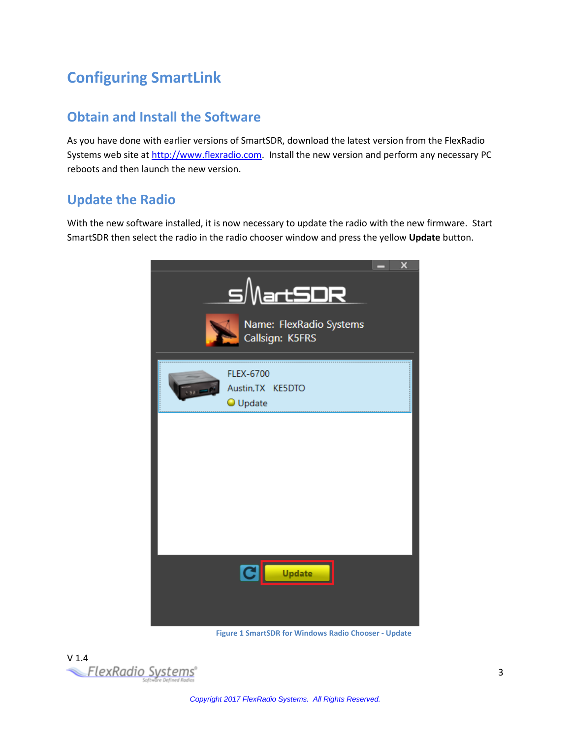# <span id="page-3-0"></span>**Configuring SmartLink**

### <span id="page-3-1"></span>**Obtain and Install the Software**

As you have done with earlier versions of SmartSDR, download the latest version from the FlexRadio Systems web site a[t http://www.flexradio.com.](http://www.flexradio.com/) Install the new version and perform any necessary PC reboots and then launch the new version.

#### <span id="page-3-2"></span>**Update the Radio**

With the new software installed, it is now necessary to update the radio with the new firmware. Start SmartSDR then select the radio in the radio chooser window and press the yellow **Update** button.



**Figure 1 SmartSDR for Windows Radio Chooser - Update**

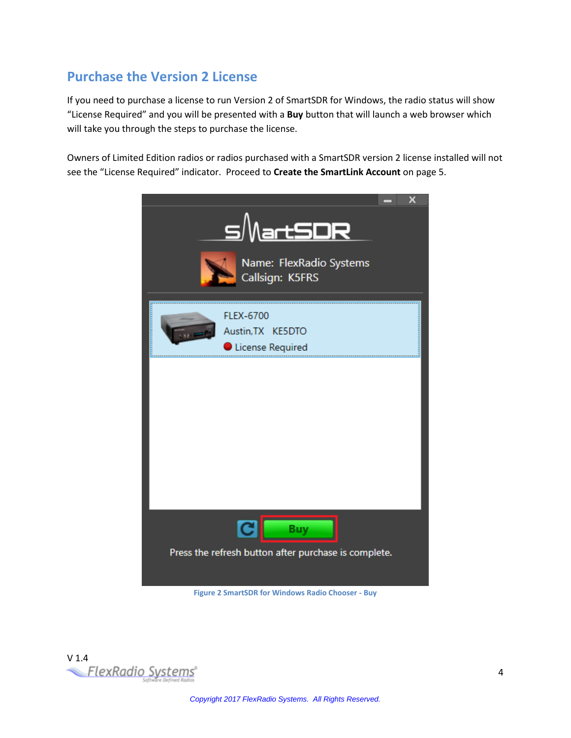### <span id="page-4-0"></span>**Purchase the Version 2 License**

If you need to purchase a license to run Version 2 of SmartSDR for Windows, the radio status will show "License Required" and you will be presented with a **Buy** button that will launch a web browser which will take you through the steps to purchase the license.

Owners of Limited Edition radios or radios purchased with a SmartSDR version 2 license installed will not see the "License Required" indicator. Proceed to **Create [the SmartLink Account](#page-5-1)** on pag[e 5.](#page-5-1)

| <u>s/NartSDR</u><br>Name: FlexRadio Systems<br>Callsign: K5FRS           | x |
|--------------------------------------------------------------------------|---|
| <b>FLEX-6700</b><br>Austin, TX KE5DTO<br>License Required                |   |
|                                                                          |   |
|                                                                          |   |
|                                                                          |   |
| C <br><b>Buy</b><br>Press the refresh button after purchase is complete. |   |

**Figure 2 SmartSDR for Windows Radio Chooser - Buy**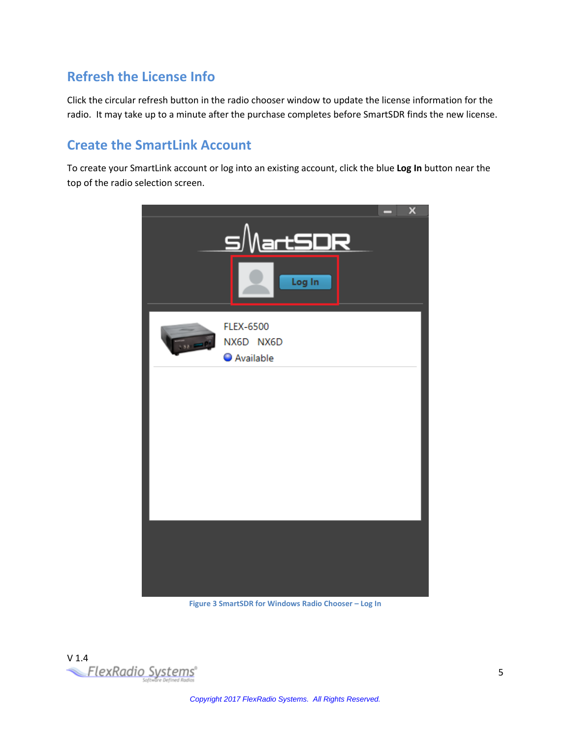### <span id="page-5-0"></span>**Refresh the License Info**

Click the circular refresh button in the radio chooser window to update the license information for the radio. It may take up to a minute after the purchase completes before SmartSDR finds the new license.

#### <span id="page-5-1"></span>**Create the SmartLink Account**

To create your SmartLink account or log into an existing account, click the blue **Log In** button near the top of the radio selection screen.



**Figure 3 SmartSDR for Windows Radio Chooser – Log In**

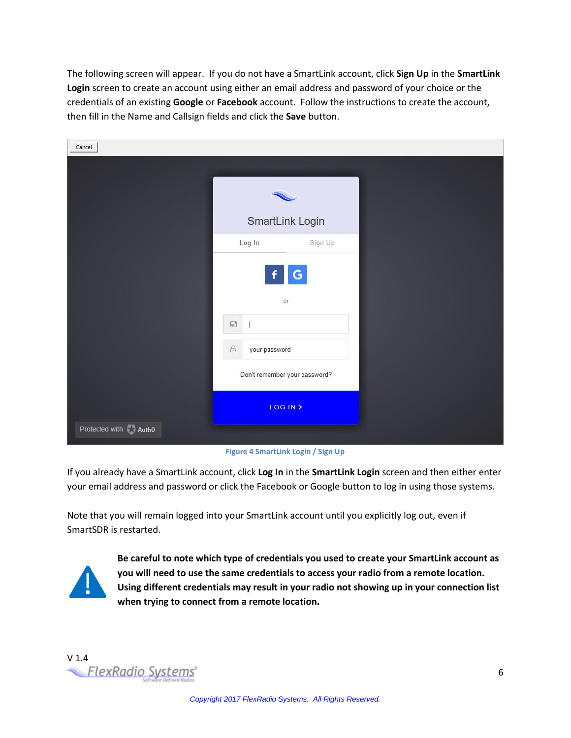The following screen will appear. If you do not have a SmartLink account, click **Sign Up** in the **SmartLink Login** screen to create an account using either an email address and password of your choice or the credentials of an existing **Google** or **Facebook** account. Follow the instructions to create the account, then fill in the Name and Callsign fields and click the **Save** button.

| Cancel               |                                                |         |  |
|----------------------|------------------------------------------------|---------|--|
|                      |                                                |         |  |
|                      |                                                |         |  |
|                      | SmartLink Login                                |         |  |
|                      | Log In                                         | Sign Up |  |
|                      | or<br>$\equiv$<br>$\bigoplus$<br>your password | G       |  |
|                      | Don't remember your password?                  |         |  |
|                      | LOG IN >                                       |         |  |
| Protected with Autho |                                                |         |  |

**Figure 4 SmartLink Login / Sign Up**

If you already have a SmartLink account, click **Log In** in the **SmartLink Login** screen and then either enter your email address and password or click the Facebook or Google button to log in using those systems.

Note that you will remain logged into your SmartLink account until you explicitly log out, even if SmartSDR is restarted.



**Be careful to note which type of credentials you used to create your SmartLink account as you will need to use the same credentials to access your radio from a remote location. Using different credentials may result in your radio not showing up in your connection list when trying to connect from a remote location.**

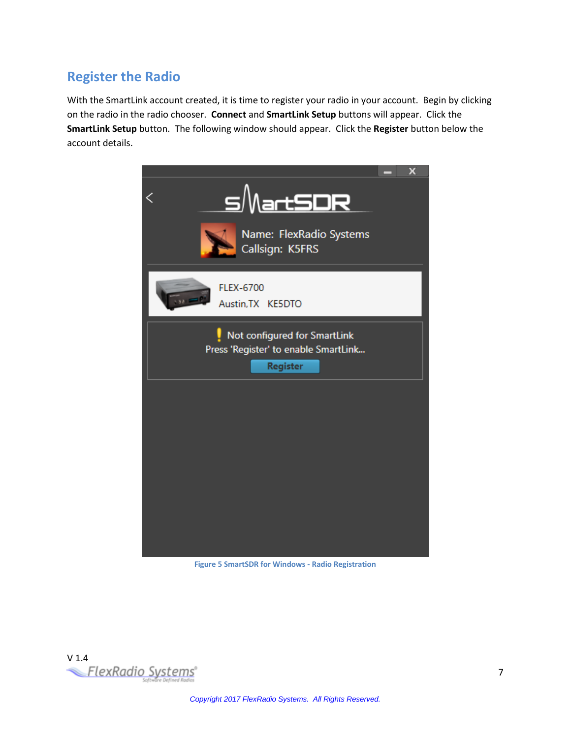### <span id="page-7-0"></span>**Register the Radio**

With the SmartLink account created, it is time to register your radio in your account. Begin by clicking on the radio in the radio chooser. **Connect** and **SmartLink Setup** buttons will appear. Click the **SmartLink Setup** button. The following window should appear. Click the **Register** button below the account details.



**Figure 5 SmartSDR for Windows - Radio Registration**

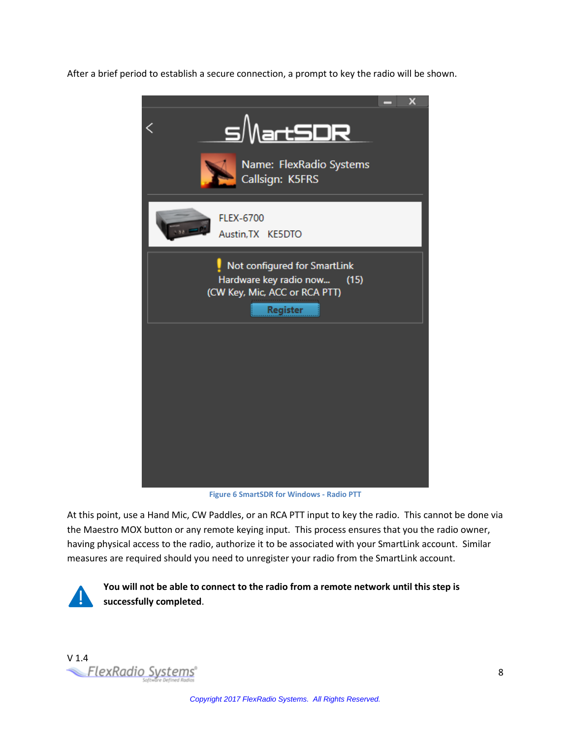After a brief period to establish a secure connection, a prompt to key the radio will be shown.



**Figure 6 SmartSDR for Windows - Radio PTT**

At this point, use a Hand Mic, CW Paddles, or an RCA PTT input to key the radio. This cannot be done via the Maestro MOX button or any remote keying input. This process ensures that you the radio owner, having physical access to the radio, authorize it to be associated with your SmartLink account. Similar measures are required should you need to unregister your radio from the SmartLink account.



**You will not be able to connect to the radio from a remote network until this step is successfully completed**.

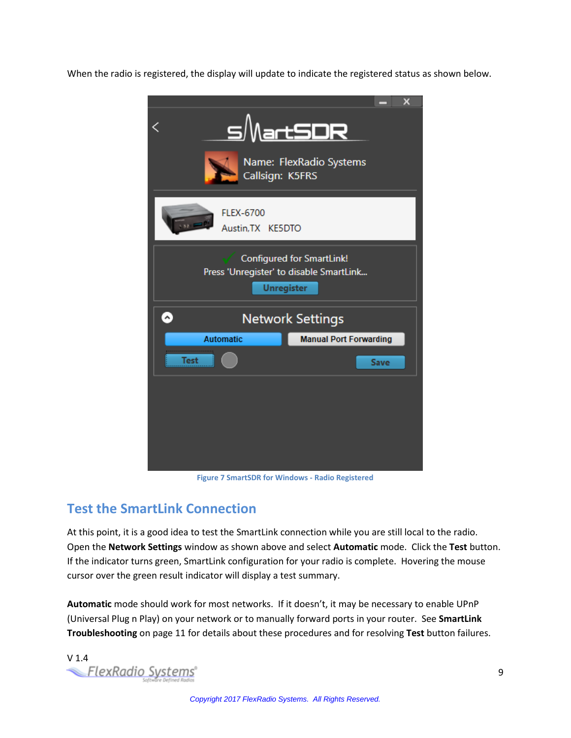When the radio is registered, the display will update to indicate the registered status as shown below.



**Figure 7 SmartSDR for Windows - Radio Registered**

#### <span id="page-9-0"></span>**Test the SmartLink Connection**

At this point, it is a good idea to test the SmartLink connection while you are still local to the radio. Open the **Network Settings** window as shown above and select **Automatic** mode. Click the **Test** button. If the indicator turns green, SmartLink configuration for your radio is complete. Hovering the mouse cursor over the green result indicator will display a test summary.

**Automatic** mode should work for most networks. If it doesn't, it may be necessary to enable UPnP (Universal Plug n Play) on your network or to manually forward ports in your router. See **[SmartLink](#page-11-0)  [Troubleshooting](#page-11-0)** on page [11](#page-11-0) for details about these procedures and for resolving **Test** button failures.

v 1.4<br>FlexRadio Systems<sup>®</sup>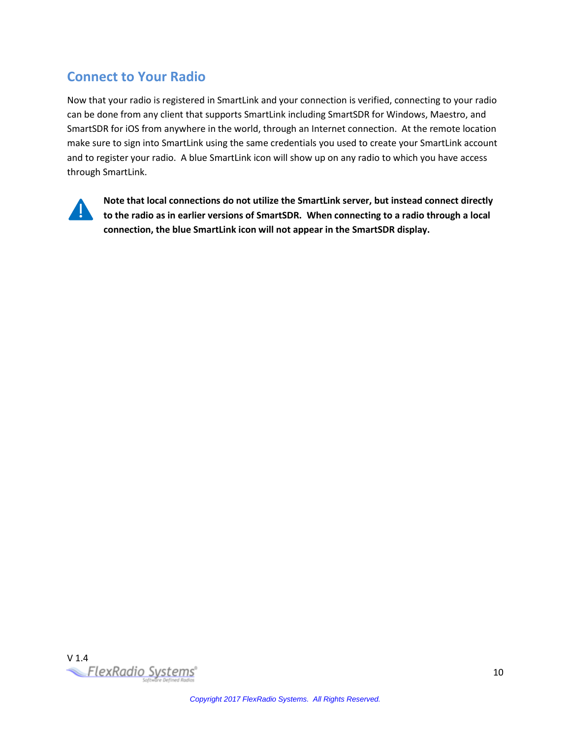### <span id="page-10-0"></span>**Connect to Your Radio**

Now that your radio is registered in SmartLink and your connection is verified, connecting to your radio can be done from any client that supports SmartLink including SmartSDR for Windows, Maestro, and SmartSDR for iOS from anywhere in the world, through an Internet connection. At the remote location make sure to sign into SmartLink using the same credentials you used to create your SmartLink account and to register your radio. A blue SmartLink icon will show up on any radio to which you have access through SmartLink.



**Note that local connections do not utilize the SmartLink server, but instead connect directly to the radio as in earlier versions of SmartSDR. When connecting to a radio through a local connection, the blue SmartLink icon will not appear in the SmartSDR display.**

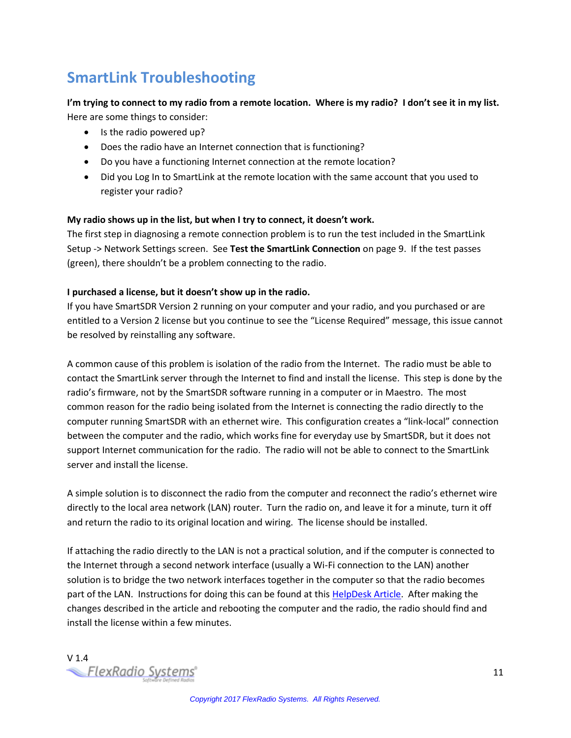## <span id="page-11-0"></span>**SmartLink Troubleshooting**

#### **I'm trying to connect to my radio from a remote location. Where is my radio? I don't see it in my list.** Here are some things to consider:

- Is the radio powered up?
- Does the radio have an Internet connection that is functioning?
- Do you have a functioning Internet connection at the remote location?
- Did you Log In to SmartLink at the remote location with the same account that you used to register your radio?

#### **My radio shows up in the list, but when I try to connect, it doesn't work.**

The first step in diagnosing a remote connection problem is to run the test included in the SmartLink Setup -> Network Settings screen. See **[Test the SmartLink Connection](#page-9-0)** on page [9.](#page-9-0) If the test passes (green), there shouldn't be a problem connecting to the radio.

#### **I purchased a license, but it doesn't show up in the radio.**

If you have SmartSDR Version 2 running on your computer and your radio, and you purchased or are entitled to a Version 2 license but you continue to see the "License Required" message, this issue cannot be resolved by reinstalling any software.

A common cause of this problem is isolation of the radio from the Internet. The radio must be able to contact the SmartLink server through the Internet to find and install the license. This step is done by the radio's firmware, not by the SmartSDR software running in a computer or in Maestro. The most common reason for the radio being isolated from the Internet is connecting the radio directly to the computer running SmartSDR with an ethernet wire. This configuration creates a "link-local" connection between the computer and the radio, which works fine for everyday use by SmartSDR, but it does not support Internet communication for the radio. The radio will not be able to connect to the SmartLink server and install the license.

A simple solution is to disconnect the radio from the computer and reconnect the radio's ethernet wire directly to the local area network (LAN) router. Turn the radio on, and leave it for a minute, turn it off and return the radio to its original location and wiring. The license should be installed.

If attaching the radio directly to the LAN is not a practical solution, and if the computer is connected to the Internet through a second network interface (usually a Wi-Fi connection to the LAN) another solution is to bridge the two network interfaces together in the computer so that the radio becomes part of the LAN. Instructions for doing this can be found at this [HelpDesk Article.](https://helpdesk.flexradio.com/hc/en-us/articles/115003741486-Enabling-Network-Bridging-for-Link-Local-direct-connected-FLEX-6000s) After making the changes described in the article and rebooting the computer and the radio, the radio should find and install the license within a few minutes.

v 1.4<br>FlexRadio Systems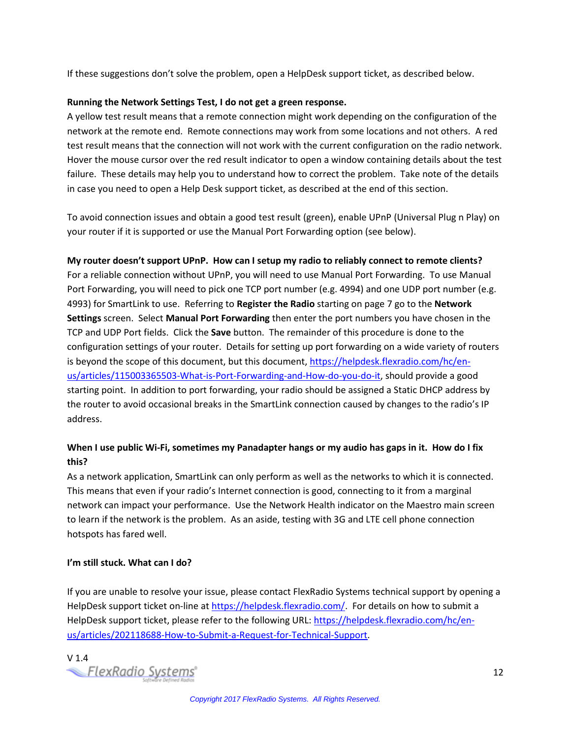If these suggestions don't solve the problem, open a HelpDesk support ticket, as described below.

#### **Running the Network Settings Test, I do not get a green response.**

A yellow test result means that a remote connection might work depending on the configuration of the network at the remote end. Remote connections may work from some locations and not others. A red test result means that the connection will not work with the current configuration on the radio network. Hover the mouse cursor over the red result indicator to open a window containing details about the test failure. These details may help you to understand how to correct the problem. Take note of the details in case you need to open a Help Desk support ticket, as described at the end of this section.

To avoid connection issues and obtain a good test result (green), enable UPnP (Universal Plug n Play) on your router if it is supported or use the Manual Port Forwarding option (see below).

**My router doesn't support UPnP. How can I setup my radio to reliably connect to remote clients?** For a reliable connection without UPnP, you will need to use Manual Port Forwarding. To use Manual Port Forwarding, you will need to pick one TCP port number (e.g. 4994) and one UDP port number (e.g. 4993) for SmartLink to use. Referring to **[Register the Radio](#page-7-0)** starting on page [7](#page-7-0) go to the **Network Settings** screen. Select **Manual Port Forwarding** then enter the port numbers you have chosen in the TCP and UDP Port fields. Click the **Save** button. The remainder of this procedure is done to the configuration settings of your router. Details for setting up port forwarding on a wide variety of routers is beyond the scope of this document, but this document, [https://helpdesk.flexradio.com/hc/en](https://helpdesk.flexradio.com/hc/en-us/articles/115003365503-What-is-Port-Forwarding-and-How-do-you-do-it)[us/articles/115003365503-What-is-Port-Forwarding-and-How-do-you-do-it,](https://helpdesk.flexradio.com/hc/en-us/articles/115003365503-What-is-Port-Forwarding-and-How-do-you-do-it) should provide a good starting point. In addition to port forwarding, your radio should be assigned a Static DHCP address by the router to avoid occasional breaks in the SmartLink connection caused by changes to the radio's IP address.

#### **When I use public Wi-Fi, sometimes my Panadapter hangs or my audio has gaps in it. How do I fix this?**

As a network application, SmartLink can only perform as well as the networks to which it is connected. This means that even if your radio's Internet connection is good, connecting to it from a marginal network can impact your performance. Use the Network Health indicator on the Maestro main screen to learn if the network is the problem. As an aside, testing with 3G and LTE cell phone connection hotspots has fared well.

#### **I'm still stuck. What can I do?**

If you are unable to resolve your issue, please contact FlexRadio Systems technical support by opening a HelpDesk support ticket on-line at [https://helpdesk.flexradio.com/.](https://helpdesk.flexradio.com/) For details on how to submit a HelpDesk support ticket, please refer to the following URL[: https://helpdesk.flexradio.com/hc/en](https://helpdesk.flexradio.com/hc/en-us/articles/202118688-How-to-Submit-a-Request-for-Technical-Support)[us/articles/202118688-How-to-Submit-a-Request-for-Technical-Support.](https://helpdesk.flexradio.com/hc/en-us/articles/202118688-How-to-Submit-a-Request-for-Technical-Support)

v 1.4<br>FlexRadio Systems<sup>®</sup>